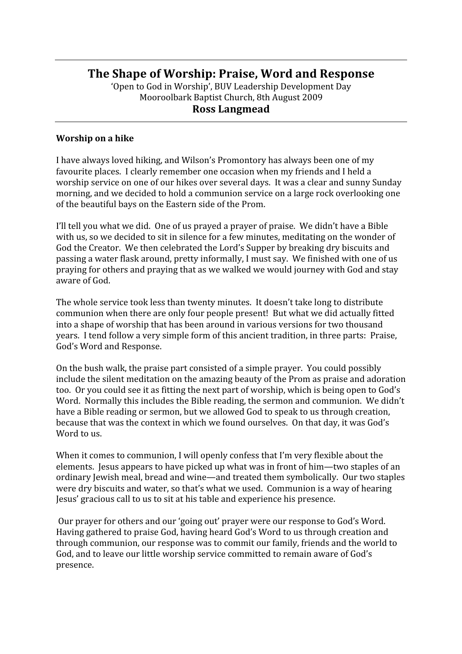# **The
Shape
of
Worship:
Praise,
Word
and
Response**

'Open
to
God
in
Worship',
BUV
Leadership
Development
Day Mooroolbark
Baptist
Church,
8th
August
2009 **Ross
Langmead**

#### **Worship
on
a
hike**

I
have
always
loved
hiking,
and
Wilson's
Promontory
has
always
been
one
of
my favourite places. I clearly remember one occasion when my friends and I held a worship service on one of our hikes over several days. It was a clear and sunny Sunday morning,
and
we
decided
to
hold
a
communion
service
on
a
large
rock
overlooking
one of
the
beautiful
bays
on
the
Eastern
side
of
the
Prom.

I'll tell you what we did. One of us prayed a prayer of praise. We didn't have a Bible with us, so we decided to sit in silence for a few minutes, meditating on the wonder of God
the
Creator.

We
then
celebrated
the
Lord's
Supper
by
breaking
dry
biscuits
and passing
a
water
flask
around,
pretty
informally,
I
must
say.

We
finished
with
one
of
us praying for others and praying that as we walked we would journey with God and stay aware
of
God.

The
whole
service
took
less
than
twenty
minutes.

It
doesn't
take
long
to
distribute communion
when
there
are
only
four
people
present!

But
what
we
did
actually
fitted into
a
shape
of
worship
that
has
been
around
in
various
versions
for
two
thousand years.

I
tend
follow
a
very
simple
form
of
this
ancient
tradition,
in
three
parts:

Praise, God's
Word
and
Response.

On the bush walk, the praise part consisted of a simple prayer. You could possibly include
the
silent
meditation
on
the
amazing
beauty
of
the
Prom
as
praise
and
adoration too.

Or
you
could
see
it
as
fitting
the
next
part
of
worship,
which
is
being
open
to
God's Word. Normally this includes the Bible reading, the sermon and communion. We didn't have
a
Bible
reading
or
sermon,
but
we
allowed
God
to
speak
to
us
through
creation, because
that
was
the
context
in
which
we
found
ourselves.

On
that
day,
it
was
God's Word to us.

When it comes to communion, I will openly confess that I'm very flexible about the elements. Iesus appears to have picked up what was in front of him—two staples of an ordinary
Jewish
meal,
bread
and
wine—and
treated
them
symbolically.

Our
two
staples were dry biscuits and water, so that's what we used. Communion is a way of hearing Jesus'
gracious
call
to
us
to
sit
at
his
table
and
experience
his
presence.

Our prayer for others and our 'going out' prayer were our response to God's Word. Having gathered to praise God, having heard God's Word to us through creation and through
communion,
our
response
was
to
commit
our
family,
friends
and
the
world
to God, and to leave our little worship service committed to remain aware of God's presence.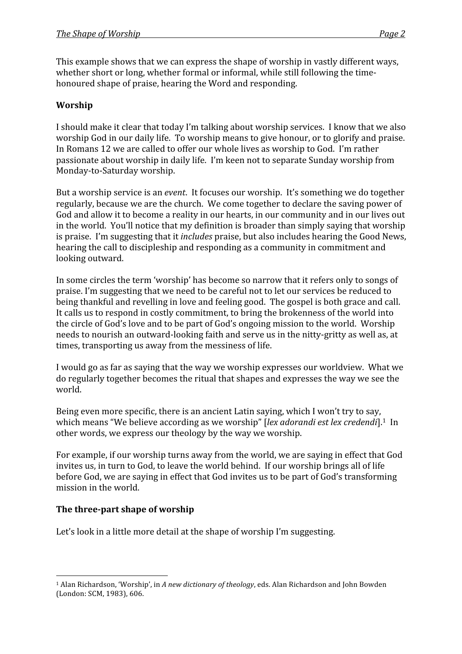This
example
shows
that
we
can
express
the
shape
of
worship
in
vastly
different
ways, whether short or long, whether formal or informal, while still following the timehonoured
shape
of
praise,
hearing
the
Word
and
responding.

## **Worship**

I should make it clear that today I'm talking about worship services. I know that we also worship God in our daily life. To worship means to give honour, or to glorify and praise. In
Romans
12
we
are
called
to
offer
our
whole
lives
as
worship
to
God.

I'm
rather passionate about worship in daily life. I'm keen not to separate Sunday worship from Monday‐to‐Saturday
worship.

But a worship service is an *event*. It focuses our worship. It's something we do together regularly, because we are the church. We come together to declare the saving power of God and allow it to become a reality in our hearts, in our community and in our lives out in
the
world.

You'll
notice
that
my
definition
is
broader
than
simply
saying
that
worship is praise. I'm suggesting that it *includes* praise, but also includes hearing the Good News, hearing the call to discipleship and responding as a community in commitment and looking
outward.

In some circles the term 'worship' has become so narrow that it refers only to songs of praise.
I'm
suggesting
that
we
need
to
be
careful
not
to
let
our
services
be
reduced
to being
thankful
and
revelling
in
love
and
feeling
good.

The
gospel
is
both
grace
and
call. It calls us to respond in costly commitment, to bring the brokenness of the world into the
circle
of
God's
love
and
to
be
part
of
God's
ongoing
mission
to
the
world.

Worship needs
to
nourish
an
outward‐looking
faith
and
serve
us
in
the
nitty‐gritty
as
well
as,
at times,
transporting
us
away
from
the
messiness
of
life.

I would go as far as saying that the way we worship expresses our worldview. What we do
regularly
together
becomes
the
ritual
that
shapes
and
expresses
the
way
we
see
the world.

Being even more specific, there is an ancient Latin saying, which I won't try to say, which means "We believe according as we worship" [lex adorandi est lex credendi].<sup>1</sup> In other
words,
we
express
our
theology
by
the
way
we
worship.

For
example,
if
our
worship
turns
away
from
the
world,
we
are
saying
in
effect
that
God invites us, in turn to God, to leave the world behind. If our worship brings all of life before
God,
we
are
saying
in
effect
that
God
invites
us
to
be
part
of
God's
transforming mission
in
the
world.

### The three-part shape of worship

Let's look in a little more detail at the shape of worship I'm suggesting.

 <sup>1</sup> Alan Richardson, 'Worship', in A new dictionary of theology, eds. Alan Richardson and John Bowden (London:
SCM,
1983),
606.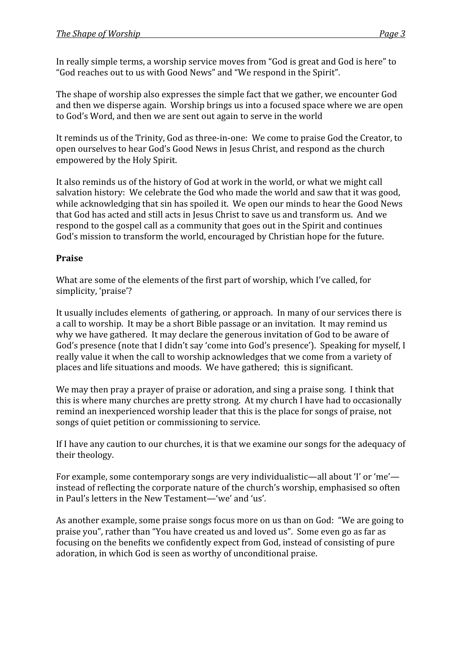In
really
simple
terms,
a
worship
service
moves
from
"God
is
great
and
God
is
here"
to "God reaches out to us with Good News" and "We respond in the Spirit".

The
shape
of
worship
also
expresses
the
simple
fact
that
we
gather,
we
encounter
God and
then
we
disperse
again.

Worship
brings
us
into
a
focused
space
where
we
are
open to God's Word, and then we are sent out again to serve in the world

It reminds us of the Trinity, God as three-in-one: We come to praise God the Creator, to open
ourselves
to
hear
God's
Good
News
in
Jesus
Christ,
and
respond
as
the
church empowered
by
the
Holy
Spirit.

It also reminds us of the history of God at work in the world, or what we might call salvation history: We celebrate the God who made the world and saw that it was good, while acknowledging that sin has spoiled it. We open our minds to hear the Good News that God has acted and still acts in Jesus Christ to save us and transform us. And we respond
to
the
gospel
call
as
a
community
that
goes
out
in
the
Spirit
and
continues God's mission to transform the world, encouraged by Christian hope for the future.

### **Praise**

What are some of the elements of the first part of worship, which I've called, for simplicity,
'praise'?

It usually includes elements of gathering, or approach. In many of our services there is a call to worship. It may be a short Bible passage or an invitation. It may remind us why we have gathered. It may declare the generous invitation of God to be aware of God's presence (note that I didn't say 'come into God's presence'). Speaking for myself, I really
value
it
when
the
call
to
worship
acknowledges
that
we
come
from
a
variety
of places
and
life
situations
and
moods.

We
have
gathered;

this
is
significant.

We may then pray a prayer of praise or adoration, and sing a praise song. I think that this
is
where
many
churches
are
pretty
strong.

At
my
church
I
have
had
to
occasionally remind
an
inexperienced
worship
leader
that
this
is
the
place
for
songs
of
praise,
not songs
of
quiet
petition
or
commissioning
to
service.

If I have any caution to our churches, it is that we examine our songs for the adequacy of their
theology.

For example, some contemporary songs are very individualistic—all about 'I' or 'me' instead
of
reflecting
the
corporate
nature
of
the
church's
worship,
emphasised
so
often in Paul's letters in the New Testament—'we' and 'us'.

As
another
example,
some
praise
songs
focus
more
on
us
than
on
God:

"We
are
going
to praise
you",
rather
than
"You
have
created
us
and
loved
us".

Some
even
go
as
far
as focusing
on
the
benefits
we
confidently
expect
from
God,
instead
of
consisting
of
pure adoration,
in
which
God
is
seen
as
worthy
of
unconditional
praise.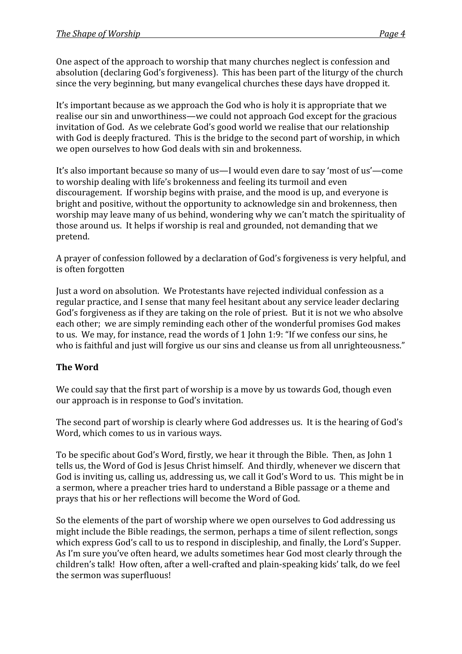One aspect of the approach to worship that many churches neglect is confession and absolution
(declaring
God's
forgiveness).

This
has
been
part
of
the
liturgy
of
the
church since
the
very
beginning,
but
many
evangelical
churches
these
days
have
dropped
it.

It's important because as we approach the God who is holy it is appropriate that we realise
our
sin
and
unworthiness—we
could
not
approach
God
except
for
the
gracious invitation of God. As we celebrate God's good world we realise that our relationship with God is deeply fractured. This is the bridge to the second part of worship, in which we open ourselves to how God deals with sin and brokenness.

It's also important because so many of us—I would even dare to say 'most of us'—come to worship dealing with life's brokenness and feeling its turmoil and even discouragement. If worship begins with praise, and the mood is up, and everyone is bright
and
positive,
without
the
opportunity
to
acknowledge
sin
and
brokenness,
then worship may leave many of us behind, wondering why we can't match the spirituality of those
around
us.

It
helps
if
worship
is
real
and
grounded,
not
demanding
that
we pretend.

A prayer of confession followed by a declaration of God's forgiveness is very helpful, and is
often
forgotten

Just a word on absolution. We Protestants have rejected individual confession as a regular
practice,
and
I
sense
that
many
feel
hesitant
about
any
service
leader
declaring God's forgiveness as if they are taking on the role of priest. But it is not we who absolve each other; we are simply reminding each other of the wonderful promises God makes to us. We may, for instance, read the words of 1 John 1:9: "If we confess our sins, he who is faithful and just will forgive us our sins and cleanse us from all unrighteousness."

### **The
Word**

We could say that the first part of worship is a move by us towards God, though even our
approach
is
in
response
to
God's
invitation.

The
second
part
of
worship
is
clearly
where
God
addresses
us.

It
is
the
hearing
of
God's Word, which comes to us in various ways.

To be specific about God's Word, firstly, we hear it through the Bible. Then, as John 1 tells us, the Word of God is Jesus Christ himself. And thirdly, whenever we discern that God is inviting us, calling us, addressing us, we call it God's Word to us. This might be in a sermon, where a preacher tries hard to understand a Bible passage or a theme and prays
that
his
or
her
reflections
will
become
the
Word
of
God.

So the elements of the part of worship where we open ourselves to God addressing us might
include
the
Bible
readings,
the
sermon,
perhaps
a
time
of
silent
reflection,
songs which express God's call to us to respond in discipleship, and finally, the Lord's Supper. As I'm sure you've often heard, we adults sometimes hear God most clearly through the children's talk! How often, after a well-crafted and plain-speaking kids' talk, do we feel the
sermon
was
superfluous!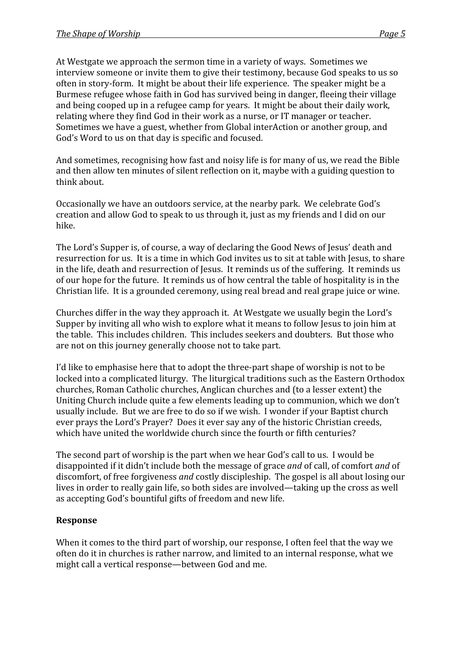At Westgate we approach the sermon time in a variety of ways. Sometimes we interview someone or invite them to give their testimony, because God speaks to us so often in story-form. It might be about their life experience. The speaker might be a Burmese
refugee
whose
faith
in
God
has
survived
being
in
danger,
fleeing
their
village and
being
cooped
up
in
a
refugee
camp
for
years.

It
might
be
about
their
daily
work, relating
where
they
find
God
in
their
work
as
a
nurse,
or
IT
manager
or
teacher. Sometimes
we
have
a
guest,
whether
from
Global
interAction
or
another
group,
and God's Word to us on that day is specific and focused.

And
sometimes,
recognising
how
fast
and
noisy
life
is
for
many
of
us,
we
read
the
Bible and
then
allow
ten
minutes
of
silent
reflection
on
it,
maybe
with
a
guiding
question
to think
about.

Occasionally
we
have
an
outdoors
service,
at
the
nearby
park.

We
celebrate
God's creation
and
allow
God
to
speak
to
us
through
it,
just
as
my
friends
and
I
did
on
our hike.

The
Lord's
Supper
is,
of
course,
a
way
of
declaring
the
Good
News
of
Jesus'
death
and resurrection for us. It is a time in which God invites us to sit at table with Jesus, to share in the life, death and resurrection of Jesus. It reminds us of the suffering. It reminds us of our hope for the future. It reminds us of how central the table of hospitality is in the Christian life. It is a grounded ceremony, using real bread and real grape juice or wine.

Churches
differ
in
the
way
they
approach
it.

At
Westgate
we
usually
begin
the
Lord's Supper by inviting all who wish to explore what it means to follow Jesus to join him at the
table.

This
includes
children.

This
includes
seekers
and
doubters.

But
those
who are
not
on
this
journey
generally
choose
not
to
take
part.

I'd like to emphasise here that to adopt the three-part shape of worship is not to be locked into a complicated liturgy. The liturgical traditions such as the Eastern Orthodox churches,
Roman
Catholic
churches,
Anglican
churches
and
(to
a
lesser
extent)
the Uniting
Church
include
quite
a
few
elements
leading
up
to
communion,
which
we
don't usually include. But we are free to do so if we wish. I wonder if your Baptist church ever
prays
the
Lord's
Prayer?

Does
it
ever
say
any
of
the
historic
Christian
creeds, which have united the worldwide church since the fourth or fifth centuries?

The
second
part
of
worship
is
the
part
when
we
hear
God's
call
to
us.

I
would
be disappointed if it didn't include both the message of grace *and* of call, of comfort *and* of discomfort, of free forgiveness *and* costly discipleship. The gospel is all about losing our lives in order to really gain life, so both sides are involved—taking up the cross as well as
accepting
God's
bountiful
gifts
of
freedom
and
new
life.

### **Response**

When it comes to the third part of worship, our response, I often feel that the way we often
do
it
in
churches
is
rather
narrow,
and
limited
to
an
internal
response,
what
we might
call
a
vertical
response—between
God
and
me.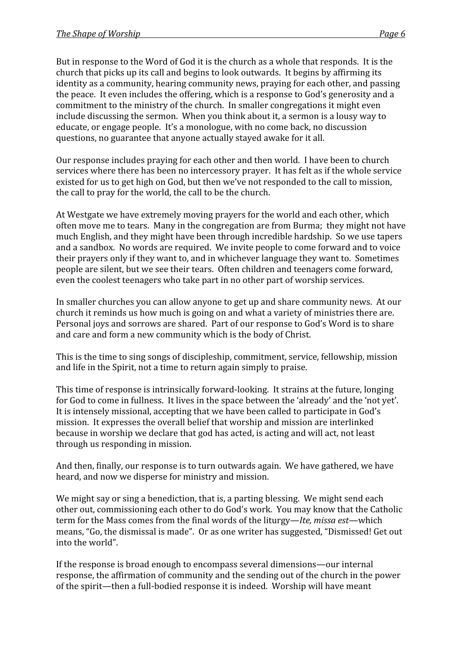But in response to the Word of God it is the church as a whole that responds. It is the church
that
picks
up
its
call
and
begins
to
look
outwards.

It
begins
by
affirming
its identity
as
a
community,
hearing
community
news,
praying
for
each
other,
and
passing the peace. It even includes the offering, which is a response to God's generosity and a commitment
to
the
ministry
of
the
church.

In
smaller
congregations
it
might
even include
discussing
the
sermon.

When
you
think
about
it,
a
sermon
is
a
lousy
way
to educate,
or
engage
people.

It's
a
monologue,
with
no
come
back,
no
discussion questions,
no
guarantee
that
anyone
actually
stayed
awake
for
it
all.

Our response includes praying for each other and then world. I have been to church services where there has been no intercessory prayer. It has felt as if the whole service existed for us to get high on God, but then we've not responded to the call to mission, the
call
to
pray
for
the
world,
the
call
to
be
the
church.

At
Westgate
we
have
extremely
moving
prayers
for
the
world
and
each
other,
which often move me to tears. Many in the congregation are from Burma; they might not have much
English,
and
they
might
have
been
through
incredible
hardship.

So
we
use
tapers and
a
sandbox.

No
words
are
required.

We
invite
people
to
come
forward
and
to
voice their
prayers
only
if
they
want
to,
and
in
whichever
language
they
want
to.

Sometimes people
are
silent,
but
we
see
their
tears.

Often
children
and
teenagers
come
forward, even
the
coolest
teenagers
who
take
part
in
no
other
part
of
worship
services.

In smaller churches you can allow anyone to get up and share community news. At our church
it
reminds
us
how
much
is
going
on
and
what
a
variety
of
ministries
there
are. Personal joys and sorrows are shared. Part of our response to God's Word is to share and
care
and
form
a
new
community
which
is
the
body
of
Christ.

This
is
the
time
to
sing
songs
of
discipleship,
commitment,
service,
fellowship,
mission and life in the Spirit, not a time to return again simply to praise.

This
time
of
response
is
intrinsically
forward‐looking.

It
strains
at
the
future,
longing for God to come in fullness. It lives in the space between the 'already' and the 'not yet'. It is intensely missional, accepting that we have been called to participate in God's mission.

It
expresses
the
overall
belief
that
worship
and
mission
are
interlinked because
in
worship
we
declare
that
god
has
acted,
is
acting
and
will
act,
not
least through
us
responding
in
mission.

And then, finally, our response is to turn outwards again. We have gathered, we have heard,
and
now
we
disperse
for
ministry
and
mission.

We might say or sing a benediction, that is, a parting blessing. We might send each other
out,
commissioning
each
other
to
do
God's
work.

You
may
know
that
the
Catholic term
for
the
Mass
comes
from
the
final
words
of
the
liturgy—*Ite,
missa
est*—which means,
"Go,
the
dismissal
is
made".

Or
as
one
writer
has
suggested,
"Dismissed!
Get
out into
the
world".

If the response is broad enough to encompass several dimensions—our internal response,
the
affirmation
of
community
and
the
sending
out
of
the
church
in
the
power of the spirit—then a full-bodied response it is indeed. Worship will have meant